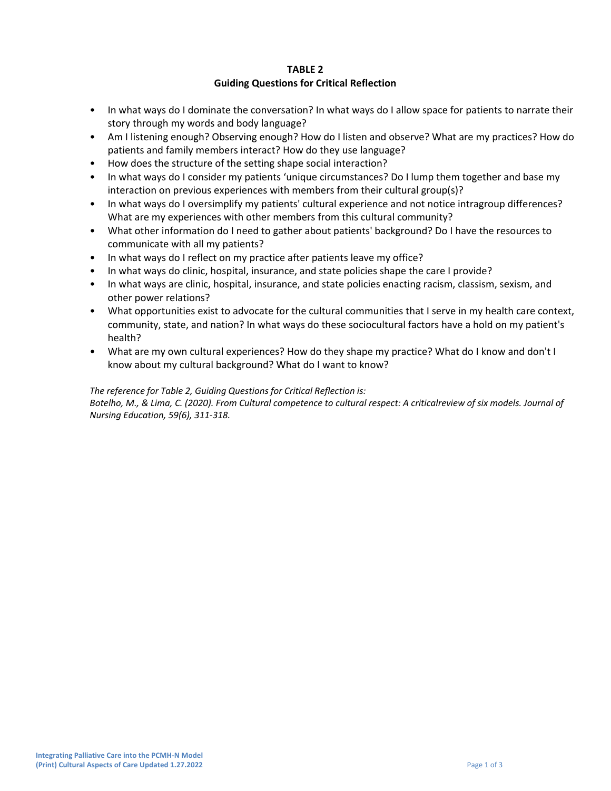## **TABLE 2 Guiding Questions for Critical Reflection**

- In what ways do I dominate the conversation? In what ways do I allow space for patients to narrate their story through my words and body language?
- Am I listening enough? Observing enough? How do I listen and observe? What are my practices? How do patients and family members interact? How do they use language?
- How does the structure of the setting shape social interaction?
- In what ways do I consider my patients 'unique circumstances? Do I lump them together and base my interaction on previous experiences with members from their cultural group(s)?
- In what ways do I oversimplify my patients' cultural experience and not notice intragroup differences? What are my experiences with other members from this cultural community?
- What other information do I need to gather about patients' background? Do I have the resources to communicate with all my patients?
- In what ways do I reflect on my practice after patients leave my office?
- In what ways do clinic, hospital, insurance, and state policies shape the care I provide?
- In what ways are clinic, hospital, insurance, and state policies enacting racism, classism, sexism, and other power relations?
- What opportunities exist to advocate for the cultural communities that I serve in my health care context, community, state, and nation? In what ways do these sociocultural factors have a hold on my patient's health?
- What are my own cultural experiences? How do they shape my practice? What do I know and don't I know about my cultural background? What do I want to know?

## *The reference for Table 2, Guiding Questions for Critical Reflection is:*

*Botelho, M., & Lima, C. (2020). From Cultural competence to cultural respect: A criticalreview of six models. Journal of Nursing Education, 59(6), 311-318.*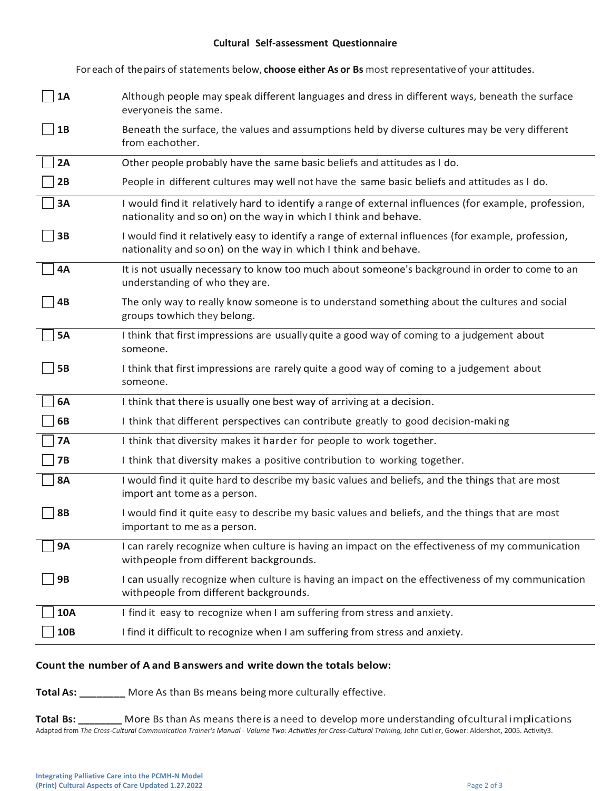### **Cultural Self-assessment Questionnaire**

For each of thepairs of statements below, **choose either As or Bs** most representativeof your attitudes.

| <b>1A</b>  | Although people may speak different languages and dress in different ways, beneath the surface<br>everyoneis the same.                                                 |
|------------|------------------------------------------------------------------------------------------------------------------------------------------------------------------------|
| <b>1B</b>  | Beneath the surface, the values and assumptions held by diverse cultures may be very different<br>from eachother.                                                      |
| 2A         | Other people probably have the same basic beliefs and attitudes as I do.                                                                                               |
| 2B         | People in different cultures may well not have the same basic beliefs and attitudes as I do.                                                                           |
| 3A         | I would find it relatively hard to identify a range of external influences (for example, profession,<br>nationality and so on) on the way in which I think and behave. |
| 3B         | I would find it relatively easy to identify a range of external influences (for example, profession,<br>nationality and so on) on the way in which I think and behave. |
| 4A         | It is not usually necessary to know too much about someone's background in order to come to an<br>understanding of who they are.                                       |
| 4B         | The only way to really know someone is to understand something about the cultures and social<br>groups towhich they belong.                                            |
| <b>5A</b>  | I think that first impressions are usually quite a good way of coming to a judgement about<br>someone.                                                                 |
| <b>5B</b>  | I think that first impressions are rarely quite a good way of coming to a judgement about<br>someone.                                                                  |
| 6A         | I think that there is usually one best way of arriving at a decision.                                                                                                  |
| 6B         | I think that different perspectives can contribute greatly to good decision-making                                                                                     |
| <b>7A</b>  | I think that diversity makes it harder for people to work together.                                                                                                    |
| <b>7B</b>  | I think that diversity makes a positive contribution to working together.                                                                                              |
| <b>8A</b>  | I would find it quite hard to describe my basic values and beliefs, and the things that are most<br>import ant tome as a person.                                       |
| <b>8B</b>  | I would find it quite easy to describe my basic values and beliefs, and the things that are most<br>important to me as a person.                                       |
|            |                                                                                                                                                                        |
| <b>9A</b>  | I can rarely recognize when culture is having an impact on the effectiveness of my communication<br>withpeople from different backgrounds.                             |
| <b>9B</b>  | I can usually recognize when culture is having an impact on the effectiveness of my communication<br>withpeople from different backgrounds.                            |
| <b>10A</b> | I find it easy to recognize when I am suffering from stress and anxiety.                                                                                               |
| <b>10B</b> | I find it difficult to recognize when I am suffering from stress and anxiety.                                                                                          |
|            | Count the number of A and B answers and write down the totals below:                                                                                                   |
|            | <b>Total As:</b> _________ More As than Bs means being more culturally effective.                                                                                      |

## **Count the number of A and Banswers and write down the totals below:**

**Total Bs:** \_\_\_\_\_\_\_\_\_\_ More Bs than As means there is a need to develop more understanding ofcultural implications Adapted from The Cross-Cultural Communication Trainer's Manual - Volume Two: Activities for Cross-Cultural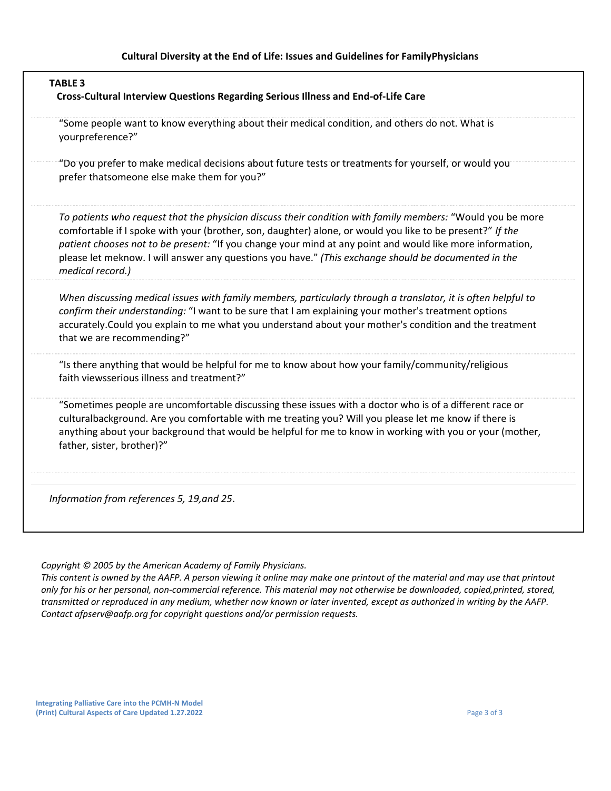| <b>TABLE 3</b><br>Cross-Cultural Interview Questions Regarding Serious Illness and End-of-Life Care |                                                                                                                                                                                                                                                                                                                                                                                                                                                                  |  |
|-----------------------------------------------------------------------------------------------------|------------------------------------------------------------------------------------------------------------------------------------------------------------------------------------------------------------------------------------------------------------------------------------------------------------------------------------------------------------------------------------------------------------------------------------------------------------------|--|
|                                                                                                     | "Some people want to know everything about their medical condition, and others do not. What is<br>yourpreference?"                                                                                                                                                                                                                                                                                                                                               |  |
|                                                                                                     | "Do you prefer to make medical decisions about future tests or treatments for yourself, or would you<br>prefer thatsomeone else make them for you?"                                                                                                                                                                                                                                                                                                              |  |
|                                                                                                     | To patients who request that the physician discuss their condition with family members: "Would you be more<br>comfortable if I spoke with your (brother, son, daughter) alone, or would you like to be present?" If the<br>patient chooses not to be present: "If you change your mind at any point and would like more information,<br>please let meknow. I will answer any questions you have." (This exchange should be documented in the<br>medical record.) |  |
|                                                                                                     | When discussing medical issues with family members, particularly through a translator, it is often helpful to<br>confirm their understanding: "I want to be sure that I am explaining your mother's treatment options<br>accurately. Could you explain to me what you understand about your mother's condition and the treatment<br>that we are recommending?"                                                                                                   |  |
|                                                                                                     | "Is there anything that would be helpful for me to know about how your family/community/religious<br>faith viewsserious illness and treatment?"                                                                                                                                                                                                                                                                                                                  |  |
|                                                                                                     | "Sometimes people are uncomfortable discussing these issues with a doctor who is of a different race or<br>culturalbackground. Are you comfortable with me treating you? Will you please let me know if there is<br>anything about your background that would be helpful for me to know in working with you or your (mother,<br>father, sister, brother)?"                                                                                                       |  |

*Information from references 5, 19,and 25*.

*Copyright © 2005 by the American Academy of Family Physicians.*

This content is owned by the AAFP. A person viewing it online may make one printout of the material and may use that printout *only for his or her personal, non-commercial reference. This material may not otherwise be downloaded, copied,printed, stored, transmitted or reproduced in any medium, whether now known or later invented, except as authorized in writing by the AAFP. Contact [afpserv@aafp.org](mailto:afpserv@aafp.org) for copyright questions and/or permission requests.*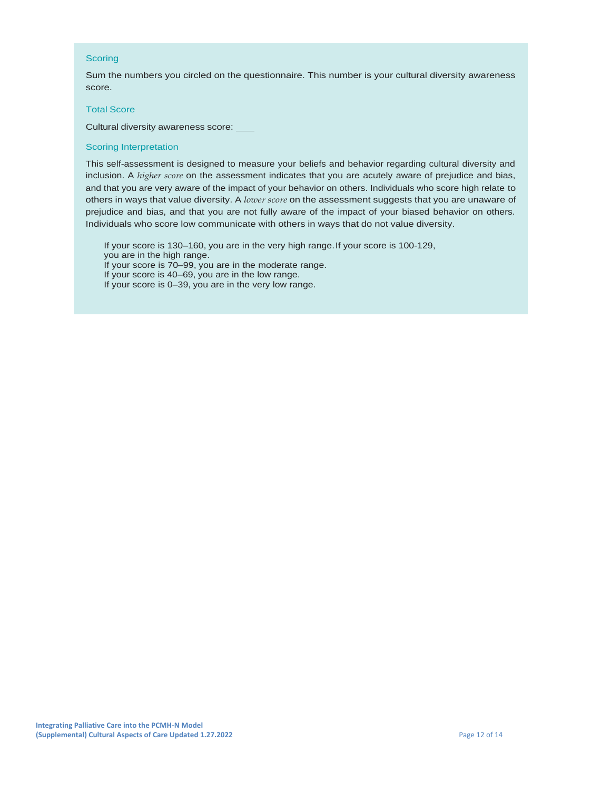#### Scoring

Sum the numbers you circled on the questionnaire. This number is your cultural diversity awareness score.

#### **Total Score**

Cultural diversity awareness score:

#### **Scoring Interpretation**

This self-assessment is designed to measure your beliefs and behavior regarding cultural diversity and inclusion. A higher score on the assessment indicates that you are acutely aware of prejudice and bias, and that you are very aware of the impact of your behavior on others. Individuals who score high relate to others in ways that value diversity. A lower score on the assessment suggests that you are unaware of prejudice and bias, and that you are not fully aware of the impact of your biased behavior on others. Individuals who score low communicate with others in ways that do not value diversity.

If your score is 130-160, you are in the very high range. If your score is 100-129,

you are in the high range.

If your score is 70-99, you are in the moderate range.

If your score is 40-69, you are in the low range.

If your score is 0-39, you are in the very low range.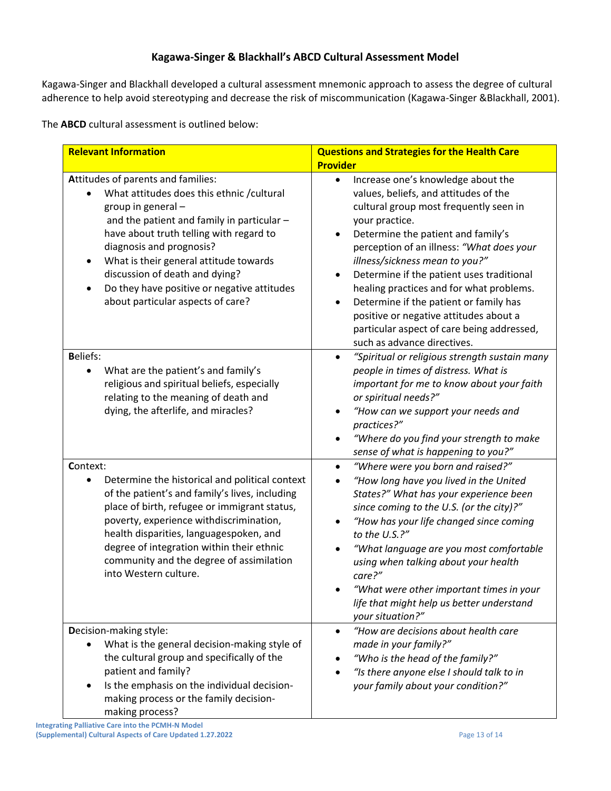# **Kagawa-Singer & Blackhall's ABCD Cultural Assessment Model**

Kagawa-Singer and Blackhall developed a cultural assessment mnemonic approach to assess the degree of cultural adherence to help avoid stereotyping and decrease the risk of miscommunication (Kagawa-Singer &Blackhall, 2001).

The **ABCD** cultural assessment is outlined below:

| <b>Relevant Information</b>                                                                                                                                                                                                                                                                                                                                                                                           | <b>Questions and Strategies for the Health Care</b><br><b>Provider</b>                                                                                                                                                                                                                                                                                                                                                                                                                                                              |  |
|-----------------------------------------------------------------------------------------------------------------------------------------------------------------------------------------------------------------------------------------------------------------------------------------------------------------------------------------------------------------------------------------------------------------------|-------------------------------------------------------------------------------------------------------------------------------------------------------------------------------------------------------------------------------------------------------------------------------------------------------------------------------------------------------------------------------------------------------------------------------------------------------------------------------------------------------------------------------------|--|
| Attitudes of parents and families:<br>What attitudes does this ethnic / cultural<br>group in general -<br>and the patient and family in particular -<br>have about truth telling with regard to<br>diagnosis and prognosis?<br>What is their general attitude towards<br>$\bullet$<br>discussion of death and dying?<br>Do they have positive or negative attitudes<br>$\bullet$<br>about particular aspects of care? | Increase one's knowledge about the<br>$\bullet$<br>values, beliefs, and attitudes of the<br>cultural group most frequently seen in<br>your practice.<br>Determine the patient and family's<br>perception of an illness: "What does your<br>illness/sickness mean to you?"<br>Determine if the patient uses traditional<br>healing practices and for what problems.<br>Determine if the patient or family has<br>positive or negative attitudes about a<br>particular aspect of care being addressed,<br>such as advance directives. |  |
| <b>Beliefs:</b><br>What are the patient's and family's<br>religious and spiritual beliefs, especially<br>relating to the meaning of death and<br>dying, the afterlife, and miracles?                                                                                                                                                                                                                                  | "Spiritual or religious strength sustain many<br>people in times of distress. What is<br>important for me to know about your faith<br>or spiritual needs?"<br>"How can we support your needs and<br>practices?"<br>"Where do you find your strength to make<br>sense of what is happening to you?"                                                                                                                                                                                                                                  |  |
| Context:<br>Determine the historical and political context<br>$\bullet$<br>of the patient's and family's lives, including<br>place of birth, refugee or immigrant status,<br>poverty, experience withdiscrimination,<br>health disparities, languagespoken, and<br>degree of integration within their ethnic<br>community and the degree of assimilation<br>into Western culture.                                     | "Where were you born and raised?"<br>"How long have you lived in the United<br>$\bullet$<br>States?" What has your experience been<br>since coming to the U.S. (or the city)?"<br>"How has your life changed since coming<br>to the U.S.?"<br>"What language are you most comfortable<br>using when talking about your health<br>care?"<br>"What were other important times in your<br>life that might help us better understand<br>your situation?"                                                                                |  |
| Decision-making style:<br>What is the general decision-making style of<br>the cultural group and specifically of the<br>patient and family?<br>Is the emphasis on the individual decision-<br>making process or the family decision-<br>making process?                                                                                                                                                               | "How are decisions about health care<br>$\bullet$<br>made in your family?"<br>"Who is the head of the family?"<br>"Is there anyone else I should talk to in<br>your family about your condition?"                                                                                                                                                                                                                                                                                                                                   |  |